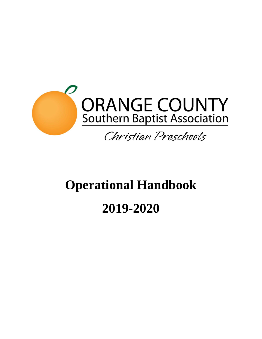

# **Operational Handbook**

# **2019-2020**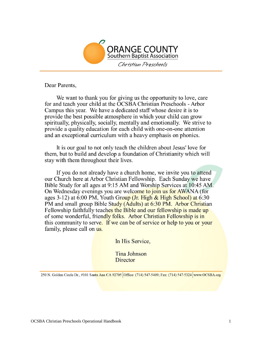

Dear Parents,

We want to thank you for giving us the opportunity to love, care for and teach your child at the OCSBA Christian Preschools - Arbor Campus this year. We have a dedicated staff whose desire it is to provide the best possible atmosphere in which your child can grow spiritually, physically, socially, mentally and emotionally. We strive to provide a quality education for each child with one-on-one attention and an exceptional curriculum with a heavy emphasis on phonics.

It is our goal to not only teach the children about Jesus' love for them, but to build and develop a foundation of Christianity which will stay with them throughout their lives.

If you do not already have a church home, we invite you to attend our Church here at Arbor Christian Fellowship. Each Sunday we have Bible Study for all ages at 9:15 AM and Worship Services at 10:45 AM. On Wednesday evenings you are welcome to join us for AWANA (for ages 3-12) at 6:00 PM, Youth Group (Jr. High & High School) at 6:30 PM and small group Bible Study (Adults) at 6:30 PM. Arbor Christian Fellowship faithfully teaches the Bible and our fellowship is made up of some wonderful, friendly folks. Arbor Christian Fellowship is in this community to serve. If we can be of service or help to you or your family, please call on us.

In His Service,

**Tina Johnson** Director

250 N. Golden Circle Dr., #101 Santa Ana CA 92705 Office: (714) 547-5409; Fax: (714) 547-5324 www.OCSBA.org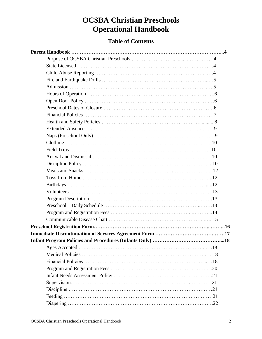# **OCSBA Christian Preschools Operational Handbook**

### **Table of Contents**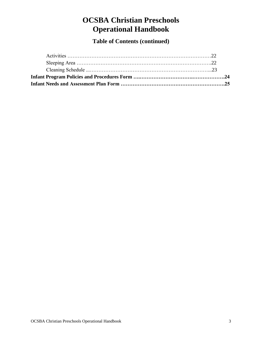# **OCSBA Christian Preschools Operational Handbook**

**Table of Contents (continued)**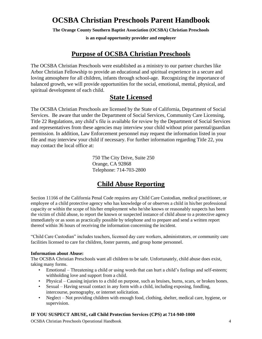# **OCSBA Christian Preschools Parent Handbook**

**The Orange County Southern Baptist Association (OCSBA) Christian Preschools** 

**is an equal opportunity provider and employer**

# **Purpose of OCSBA Christian Preschools**

The OCSBA Christian Preschools were established as a ministry to our partner churches like Arbor Christian Fellowship to provide an educational and spiritual experience in a secure and loving atmosphere for all children, infants through school-age. Recognizing the importance of balanced growth, we will provide opportunities for the social, emotional, mental, physical, and spiritual development of each child.

# **State Licensed**

The OCSBA Christian Preschools are licensed by the State of California, Department of Social Services. Be aware that under the Department of Social Services, Community Care Licensing, Title 22 Regulations, any child's file is available for review by the Department of Social Services and representatives from these agencies may interview your child without prior parental/guardian permission. In addition, Law Enforcement personnel may request the information listed in your file and may interview your child if necessary. For further information regarding Title 22, you may contact the local office at:

> 750 The City Drive, Suite 250 Orange, CA 92868 Telephone: 714-703-2800

# **Child Abuse Reporting**

Section 11166 of the California Penal Code requires any Child Care Custodian, medical practitioner, or employee of a child protective agency who has knowledge of or observes a child in his/her professional capacity or within the scope of his/her employment who he/she knows or reasonably suspects has been the victim of child abuse, to report the known or suspected instance of child abuse to a protective agency immediately or as soon as practically possible by telephone and to prepare and send a written report thereof within 36 hours of receiving the information concerning the incident.

"Child Care Custodian" includes teachers, licensed day care workers, administrators, or community care facilities licensed to care for children, foster parents, and group home personnel.

#### **Information about Abuse:**

The OCSBA Christian Preschools want all children to be safe. Unfortunately, child abuse does exist, taking many forms.

- Emotional Threatening a child or using words that can hurt a child's feelings and self-esteem; withholding love and support from a child.
- Physical Causing injuries to a child on purpose, such as bruises, burns, scars, or broken bones.
- Sexual Having sexual contact in any form with a child, including exposing, fondling, intercourse, pornography, or internet solicitation.
- Neglect Not providing children with enough food, clothing, shelter, medical care, hygiene, or supervision.

#### **IF YOU SUSPECT ABUSE, call Child Protection Services (CPS) at 714-940-1000**

OCSBA Christian Preschools Operational Handbook 4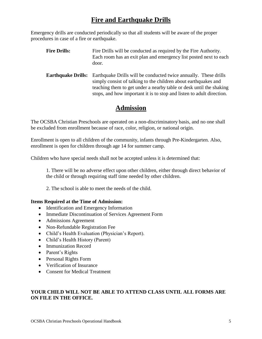# **Fire and Earthquake Drills**

Emergency drills are conducted periodically so that all students will be aware of the proper procedures in case of a fire or earthquake.

**Fire Drills:** Fire Drills will be conducted as required by the Fire Authority. Each room has an exit plan and emergency list posted next to each door. **Earthquake Drills:** Earthquake Drills will be conducted twice annually. These drills simply consist of talking to the children about earthquakes and teaching them to get under a nearby table or desk until the shaking

stops, and how important it is to stop and listen to adult direction.

# **Admission**

The OCSBA Christian Preschools are operated on a non-discriminatory basis, and no one shall be excluded from enrollment because of race, color, religion, or national origin.

Enrollment is open to all children of the community, infants through Pre-Kindergarten. Also, enrollment is open for children through age 14 for summer camp.

Children who have special needs shall not be accepted unless it is determined that:

1. There will be no adverse effect upon other children, either through direct behavior of the child or through requiring staff time needed by other children.

2. The school is able to meet the needs of the child.

#### **Items Required at the Time of Admission:**

- Identification and Emergency Information
- Immediate Discontinuation of Services Agreement Form
- Admissions Agreement
- Non-Refundable Registration Fee
- Child's Health Evaluation (Physician's Report).
- Child's Health History (Parent)
- Immunization Record
- Parent's Rights
- Personal Rights Form
- Verification of Insurance
- Consent for Medical Treatment

#### **YOUR CHILD WILL NOT BE ABLE TO ATTEND CLASS UNTIL ALL FORMS ARE ON FILE IN THE OFFICE.**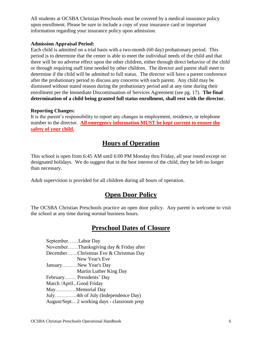All students at OCSBA Christian Preschools must be covered by a medical insurance policy upon enrollment. Please be sure to include a copy of your insurance card or important information regarding your insurance policy upon admission.

#### **Admission Appraisal Period:**

Each child is admitted on a trial basis with a two-month (60 day) probationary period. This period is to determine that the center is able to meet the individual needs of the child and that there will be no adverse effect upon the other children, either through direct behavior of the child or through requiring staff time needed by other children. The director and parent shall meet to determine if the child will be admitted to full status. The director will have a parent conference after the probationary period to discuss any concerns with each parent. Any child may be dismissed without stated reason during the probationary period and at any time during their enrollment per the Immediate Discontinuation of Services Agreement (see pg. 17). **The final determination of a child being granted full status enrollment, shall rest with the director.**

#### **Reporting Changes:**

It is the parent's responsibility to report any changes in employment, residence, or telephone number to the director. **All emergency information MUST be kept current to ensure the safety of your child.**

# **Hours of Operation**

This school is open from 6:45 AM until 6:00 PM Monday thru Friday, all year round except on designated holidays. We do suggest that in the best interest of the child, they be left no longer than necessary.

Adult supervision is provided for all children during all hours of operation.

### **Open Door Policy**

The OCSBA Christian Preschools practice an open door policy. Any parent is welcome to visit the school at any time during normal business hours.

### **Preschool Dates of Closure**

| SeptemberLabor Day                         |
|--------------------------------------------|
| NovemberThanksgiving day & Friday after    |
| DecemberChristmas Eve & Christmas Day      |
| New Year's Eve                             |
| JanuaryNew Year's Day                      |
| Martin Luther King Day                     |
| February Presidents' Day                   |
| March / AprilGood Friday                   |
| MayMemorial Day                            |
| July4th of July (Independence Day)         |
| August/Sept2 working days - classroom prep |
|                                            |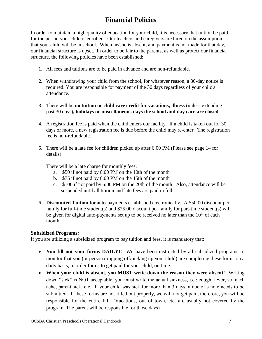# **Financial Policies**

In order to maintain a high quality of education for your child, it is necessary that tuition be paid for the period your child is enrolled. Our teachers and caregivers are hired on the assumption that your child will be in school. When he/she is absent, and payment is not made for that day, our financial structure is upset. In order to be fair to the parents, as well as protect our financial structure, the following policies have been established:

- 1. All fees and tuitions are to be paid in advance and are non-refundable.
- 2. When withdrawing your child from the school, for whatever reason, a 30-day notice is required. You are responsible for payment of the 30 days regardless of your child's attendance.
- 3. There will be **no tuition or child care credit for vacations, illness** (unless extending past 30 days)**, holidays or miscellaneous days the school and day care are closed.**
- 4. A registration fee is paid when the child enters our facility. If a child is taken out for 30 days or more, a new registration fee is due before the child may re-enter. The registration fee is non-refundable.
- 5. There will be a late fee for children picked up after 6:00 PM (Please see page 14 for details).

There will be a late charge for monthly fees:

- a. \$50 if not paid by 6:00 PM on the 10th of the month
- b. \$75 if not paid by 6:00 PM on the 15th of the month
- c. \$100 if not paid by 6:00 PM on the 20th of the month. Also, attendance will be suspended until all tuition and late fees are paid in full.
- 6. **Discounted Tuition** for auto-payments established electronically. A \$50.00 discount per family for full-time student(s) and \$25.00 discount per family for part-time student(s) will be given for digital auto-payments set up to be received no later than the  $10<sup>th</sup>$  of each month.

#### **Subsidized Programs:**

If you are utilizing a subsidized program to pay tuition and fees, it is mandatory that:

- You fill out your forms DAILY!! We have been instructed by all subsidized programs to monitor that you (or person dropping off/picking up your child) are completing these forms on a daily basis, in order for us to get paid for your child, on time.
- **When your child is absent, you MUST write down the reason they were absent!** Writing down "sick" is NOT acceptable, you must write the actual sickness, i.e.: cough, fever, stomach ache, parent sick, etc. If your child was sick for more than 3 days, a doctor's note needs to be submitted. If these forms are not filled out properly, we will not get paid, therefore, you will be responsible for the entire bill. (Vacations, out of town, etc. are usually not covered by the program. The parent will be responsible for those days)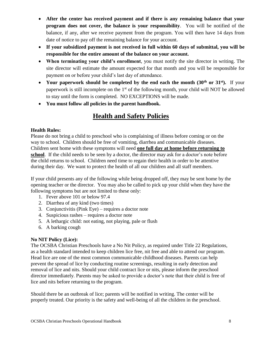- **After the center has received payment and if there is any remaining balance that your program does not cover, the balance is your responsibility**. You will be notified of the balance, if any, after we receive payment from the program. You will then have 14 days from date of notice to pay off the remaining balance for your account.
- **If your subsidized payment is not received in full within 60 days of submittal, you will be responsible for the entire amount of the balance on your account.**
- **When terminating your child's enrollment**, you must notify the site director in writing. The site director will estimate the amount expected for that month and you will be responsible for payment on or before your child's last day of attendance.
- Your paperwork should be completed by the end each the month (30<sup>th</sup> or 31<sup>st</sup>). If your paperwork is still incomplete on the 1<sup>st</sup> of the following month, your child will NOT be allowed to stay until the form is completed. NO EXCEPTIONS will be made.
- **You must follow all policies in the parent handbook.**

# **Health and Safety Policies**

#### **Health Rules:**

Please do not bring a child to preschool who is complaining of illness before coming or on the way to school. Children should be free of vomiting, diarrhea and communicable diseases. Children sent home with these symptoms will need **one full day at home before returning to school**. If the child needs to be seen by a doctor, the director may ask for a doctor's note before the child returns to school. Children need time to regain their health in order to be attentive during their day. We want to protect the health of all our children and all staff members.

If your child presents any of the following while being dropped off, they may be sent home by the opening teacher or the director. You may also be called to pick up your child when they have the following symptoms but are not limited to these only:

- 1. Fever above 101 or below 97.4
- 2. Diarrhea of any kind (two times)
- 3. Conjunctivitis (Pink Eye) requires a doctor note
- 4. Suspicious rashes requires a doctor note
- 5. A lethargic child: not eating, not playing, pale or flush
- 6. A barking cough

#### **No NIT Policy (Lice):**

The OCSBA Christian Preschools have a No Nit Policy, as required under Title 22 Regulations, as a health standard intended to keep children lice free, nit free and able to attend our program. Head lice are one of the most common communicable childhood diseases. Parents can help prevent the spread of lice by conducting routine screenings, resulting in early detection and removal of lice and nits. Should your child contract lice or nits, please inform the preschool director immediately. Parents may be asked to provide a doctor's note that their child is free of lice and nits before returning to the program.

Should there be an outbreak of lice; parents will be notified in writing. The center will be properly treated. Our priority is the safety and well-being of all the children in the preschool.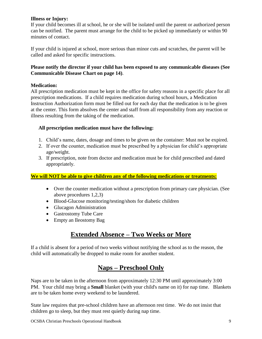#### **Illness or Injury:**

If your child becomes ill at school, he or she will be isolated until the parent or authorized person can be notified. The parent must arrange for the child to be picked up immediately or within 90 minutes of contact.

If your child is injured at school, more serious than minor cuts and scratches, the parent will be called and asked for specific instructions.

#### **Please notify the director if your child has been exposed to any communicable diseases (See Communicable Disease Chart on page 14)**.

#### **Medication:**

All prescription medication must be kept in the office for safety reasons in a specific place for all prescription medications. If a child requires medication during school hours, a Medication Instruction Authorization form must be filled out for each day that the medication is to be given at the center. This form absolves the center and staff from all responsibility from any reaction or illness resulting from the taking of the medication.

#### **All prescription medication must have the following:**

- 1. Child's name, dates, dosage and times to be given on the container: Must not be expired.
- 2. If over the counter, medication must be prescribed by a physician for child's appropriate age/weight.
- 3. If prescription, note from doctor and medication must be for child prescribed and dated appropriately.

#### **We will NOT be able to give children any of the following medications or treatments:**

- Over the counter medication without a prescription from primary care physician. (See above procedures 1,2,3)
- Blood-Glucose monitoring/testing/shots for diabetic children
- Glucagon Administration
- Gastrostomy Tube Care
- Empty an Ileostomy Bag

# **Extended Absence – Two Weeks or More**

If a child is absent for a period of two weeks without notifying the school as to the reason, the child will automatically be dropped to make room for another student.

# **Naps – Preschool Only**

Naps are to be taken in the afternoon from approximately 12:30 PM until approximately 3:00 PM. Your child may bring a **Small** blanket (with your child's name on it) for nap time. Blankets are to be taken home every weekend to be laundered.

State law requires that pre-school children have an afternoon rest time. We do not insist that children go to sleep, but they must rest quietly during nap time.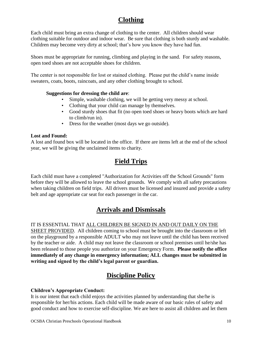# **Clothing**

Each child must bring an extra change of clothing to the center. All children should wear clothing suitable for outdoor and indoor wear. Be sure that clothing is both sturdy and washable. Children may become very dirty at school; that's how you know they have had fun.

Shoes must be appropriate for running, climbing and playing in the sand. For safety reasons, open toed shoes are not acceptable shoes for children.

The center is not responsible for lost or stained clothing. Please put the child's name inside sweaters, coats, boots, raincoats, and any other clothing brought to school.

#### **Suggestions for dressing the child are**:

- Simple, washable clothing, we will be getting very messy at school.
- Clothing that your child can manage by themselves.
- Good sturdy shoes that fit (no open toed shoes or heavy boots which are hard to climb/run in).
- Dress for the weather (most days we go outside).

#### **Lost and Found:**

A lost and found box will be located in the office. If there are items left at the end of the school year, we will be giving the unclaimed items to charity.

# **Field Trips**

Each child must have a completed "Authorization for Activities off the School Grounds" form before they will be allowed to leave the school grounds. We comply with all safety precautions when taking children on field trips. All drivers must be licensed and insured and provide a safety belt and age appropriate car seat for each passenger in the car.

# **Arrivals and Dismissals**

#### IT IS ESSENTIAL THAT ALL CHILDREN BE SIGNED IN AND OUT DAILY ON THE

SHEET PROVIDED. All children coming to school must be brought into the classroom or left on the playground by a responsible ADULT who may not leave until the child has been received by the teacher or aide. A child may not leave the classroom or school premises until he/she has been released to those people you authorize on your Emergency Form. **Please notify the office immediately of any change in emergency information; ALL changes must be submitted in writing and signed by the child's legal parent or guardian.**

# **Discipline Policy**

#### **Children's Appropriate Conduct:**

It is our intent that each child enjoys the activities planned by understanding that she/he is responsible for her/his actions. Each child will be made aware of our basic rules of safety and good conduct and how to exercise self-discipline. We are here to assist all children and let them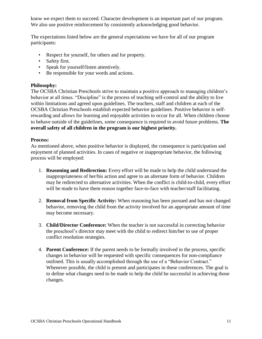know we expect them to succeed. Character development is an important part of our program. We also use positive reinforcement by consistently acknowledging good behavior.

The expectations listed below are the general expectations we have for all of our program participants:

- Respect for yourself, for others and for property.
- Safety first.
- Speak for yourself/listen attentively.
- Be responsible for your words and actions.

#### **Philosophy:**

The OCSBA Christian Preschools strive to maintain a positive approach to managing children's behavior at all times. "Discipline" is the process of teaching self-control and the ability to live within limitations and agreed upon guidelines. The teachers, staff and children at each of the OCSBA Christian Preschools establish expected behavior guidelines. Positive behavior is selfrewarding and allows for learning and enjoyable activities to occur for all. When children choose to behave outside of the guidelines, some consequence is required to avoid future problems. **The overall safety of all children in the program is our highest priority.**

#### **Process:**

As mentioned above, when positive behavior is displayed, the consequence is participation and enjoyment of planned activities. In cases of negative or inappropriate behavior, the following process will be employed:

- 1. **Reasoning and Redirection:** Every effort will be made to help the child understand the inappropriateness of her/his action and agree to an alternate form of behavior. Children may be redirected to alternative activities. When the conflict is child-to-child, every effort will be made to have them reason together face-to-face with teacher/staff facilitating.
- 2. **Removal from Specific Activity:** When reasoning has been pursued and has not changed behavior, removing the child from the activity involved for an appropriate amount of time may become necessary.
- 3. **Child/Director Conference:** When the teacher is not successful in correcting behavior the preschool's director may meet with the child to redirect him/her to use of proper conflict resolution strategies.
- 4. **Parent Conference:** If the parent needs to be formally involved in the process, specific changes in behavior will be requested with specific consequences for non-compliance outlined. This is usually accomplished through the use of a "Behavior Contract." Whenever possible, the child is present and participates in these conferences. The goal is to define what changes need to be made to help the child be successful in achieving those changes.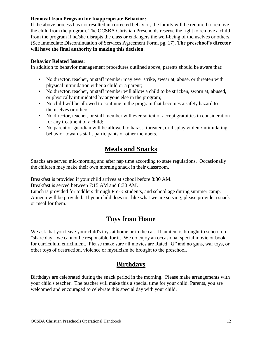#### **Removal from Program for Inappropriate Behavior:**

If the above process has not resulted in corrected behavior, the family will be required to remove the child from the program. The OCSBA Christian Preschools reserve the right to remove a child from the program if he/she disrupts the class or endangers the well-being of themselves or others. (See Immediate Discontinuation of Services Agreement Form, pg. 17). **The preschool's director will have the final authority in making this decision.**

#### **Behavior Related Issues:**

In addition to behavior management procedures outlined above, parents should be aware that:

- No director, teacher, or staff member may ever strike, swear at, abuse, or threaten with physical intimidation either a child or a parent;
- No director, teacher, or staff member will allow a child to be stricken, sworn at, abused, or physically intimidated by anyone else in the program;
- No child will be allowed to continue in the program that becomes a safety hazard to themselves or others;
- No director, teacher, or staff member will ever solicit or accept gratuities in consideration for any treatment of a child;
- No parent or guardian will be allowed to harass, threaten, or display violent/intimidating behavior towards staff, participants or other members.

# **Meals and Snacks**

Snacks are served mid-morning and after nap time according to state regulations. Occasionally the children may make their own morning snack in their classroom.

Breakfast is provided if your child arrives at school before 8:30 AM.

Breakfast is served between 7:15 AM and 8:30 AM.

Lunch is provided for toddlers through Pre-K students, and school age during summer camp. A menu will be provided. If your child does not like what we are serving, please provide a snack or meal for them.

# **Toys from Home**

We ask that you leave your child's toys at home or in the car. If an item is brought to school on "share day," we cannot be responsible for it. We do enjoy an occasional special movie or book for curriculum enrichment. Please make sure all movies are Rated "G" and no guns, war toys, or other toys of destruction, violence or mysticism be brought to the preschool.

# **Birthdays**

Birthdays are celebrated during the snack period in the morning. Please make arrangements with your child's teacher. The teacher will make this a special time for your child. Parents, you are welcomed and encouraged to celebrate this special day with your child.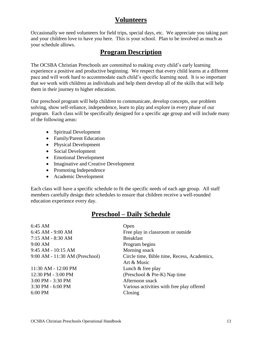## **Volunteers**

Occasionally we need volunteers for field trips, special days, etc. We appreciate you taking part and your children love to have you here. This is your school. Plan to be involved as much as your schedule allows.

### **Program Description**

The OCSBA Christian Preschools are committed to making every child's early learning experience a positive and productive beginning. We respect that every child learns at a different pace and will work hard to accommodate each child's specific learning need. It is so important that we work with children as individuals and help them develop all of the skills that will help them in their journey to higher education.

Our preschool program will help children to communicate, develop concepts, use problem solving, show self-reliance, independence, learn to play and explore in every phase of our program. Each class will be specifically designed for a specific age group and will include many of the following areas:

- Spiritual Development
- Family/Parent Education
- Physical Development
- Social Development
- Emotional Development
- Imaginative and Creative Development
- Promoting Independence
- Academic Development

Each class will have a specific schedule to fit the specific needs of each age group. All staff members carefully design their schedules to ensure that children receive a well-rounded education experience every day.

# **Preschool – Daily Schedule**

| $6:45 \text{ AM}$              | Open                                        |
|--------------------------------|---------------------------------------------|
| $6:45$ AM - $9:00$ AM          | Free play in classroom or outside           |
| 7:15 AM - 8:30 AM              | <b>Breakfast</b>                            |
| 9:00 AM                        | Program begins                              |
| $9:45$ AM - 10:15 AM           | Morning snack                               |
| 9:00 AM - 11:30 AM (Preschool) | Circle time, Bible time, Recess, Academics, |
|                                | Art & Music                                 |
| 11:30 AM - 12:00 PM            | Lunch $&$ free play                         |
| 12:30 PM - 3:00 PM             | (Preschool $\&$ Pre-K) Nap time             |
| 3:00 PM - 3:30 PM              | Afternoon snack                             |
| 3:30 PM - 6:00 PM              | Various activities with free play offered   |
| 6:00 PM                        | Closing                                     |
|                                |                                             |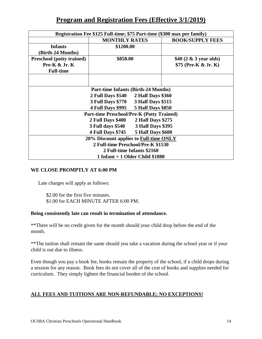# **Program and Registration Fees (Effective 3/1/2019)**

| Registration Fee \$125 Full-time; \$75 Part-time (\$300 max per family) |                                                      |                           |  |
|-------------------------------------------------------------------------|------------------------------------------------------|---------------------------|--|
|                                                                         | <b>MONTHLY RATES</b>                                 | <b>BOOK/SUPPLY FEES</b>   |  |
| <b>Infants</b>                                                          | \$1200.00                                            |                           |  |
| (Birth-24 Months)                                                       |                                                      |                           |  |
| <b>Preschool</b> (potty trained)                                        | \$850.00                                             | \$40 $(2 \& 3$ year olds) |  |
| Pre- $K \& Jr. K$                                                       |                                                      | $$75$ (Pre-K & Jr. K)     |  |
| <b>Full-time</b>                                                        |                                                      |                           |  |
|                                                                         |                                                      |                           |  |
|                                                                         |                                                      |                           |  |
|                                                                         | <b>Part-time Infants (Birth-24 Months)</b>           |                           |  |
|                                                                         | 2 Half Days \$360<br><b>2 Full Days \$540</b>        |                           |  |
|                                                                         | <b>3 Full Days \$770</b><br><b>3 Half Days \$515</b> |                           |  |
| <b>4 Full Days \$995</b><br><b>5 Half Days \$850</b>                    |                                                      |                           |  |
| <b>Part-time Preschool/Pre-K (Potty Trained)</b>                        |                                                      |                           |  |
| 2 Half Days \$275<br>2 Full Days \$400                                  |                                                      |                           |  |
| <b>3 Full days \$540</b><br>3 Half Days \$395                           |                                                      |                           |  |
| <b>4 Full Days \$745</b><br><b>5 Half Days \$600</b>                    |                                                      |                           |  |
| 20% Discount applies to Full-time ONLY                                  |                                                      |                           |  |
|                                                                         | 2 Full-time Preschool/Pre-K \$1530                   |                           |  |
| 2 Full-time Infants \$2160                                              |                                                      |                           |  |
| $1$ Infant + 1 Older Child \$1880                                       |                                                      |                           |  |

#### **WE CLOSE PROMPTLY AT 6:00 PM**

Late charges will apply as follows:

\$2.00 for the first five minutes. \$1.00 for EACH MINUTE AFTER 6:00 PM.

#### **Being consistently late can result in termination of attendance.**

\*\*There will be no credit given for the month should your child drop before the end of the month.

\*\*The tuition shall remain the same should you take a vacation during the school year or if your child is out due to illness.

Even though you pay a book fee, books remain the property of the school, if a child drops during a session for any reason. Book fees do not cover all of the cost of books and supplies needed for curriculum. They simply lighten the financial burden of the school.

#### **ALL FEES AND TUITIONS ARE NON-REFUNDABLE; NO EXCEPTIONS!**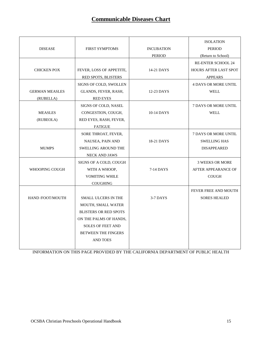# **Communicable Diseases Chart**

|                       |                              |                   | <b>ISOLATION</b>             |
|-----------------------|------------------------------|-------------------|------------------------------|
| <b>DISEASE</b>        | <b>FIRST SYMPTOMS</b>        | <b>INCUBATION</b> | <b>PERIOD</b>                |
|                       |                              | <b>PERIOD</b>     | (Return to School)           |
|                       |                              |                   | <b>RE-ENTER SCHOOL 24</b>    |
| <b>CHICKEN POX</b>    | FEVER, LOSS OF APPETITE,     | 14-21 DAYS        | <b>HOURS AFTER LAST SPOT</b> |
|                       | <b>RED SPOTS, BLISTERS</b>   |                   | <b>APPEARS</b>               |
|                       | SIGNS OF COLD, SWOLLEN       |                   | <b>4 DAYS OR MORE UNTIL</b>  |
| <b>GERMAN MEASLES</b> | GLANDS, FEVER, RASH,         | 12-23 DAYS        | <b>WELL</b>                  |
| (RUBELLA)             | <b>RED EYES</b>              |                   |                              |
|                       | SIGNS OF COLD, NASEL         |                   | <b>7 DAYS OR MORE UNTIL</b>  |
| <b>MEASLES</b>        | CONGESTION, COUGH,           | 10-14 DAYS        | <b>WELL</b>                  |
| (RUBEOLA)             | RED EYES, RASH, FEVER,       |                   |                              |
|                       | <b>FATIGUE</b>               |                   |                              |
|                       | SORE THROAT, FEVER,          |                   | <b>7 DAYS OR MORE UNTIL</b>  |
|                       | NAUSEA, PAIN AND             | 18-21 DAYS        | <b>SWELLING HAS</b>          |
| <b>MUMPS</b>          | <b>SWELLING AROUND THE</b>   |                   | <b>DISAPPEARED</b>           |
|                       | <b>NECK AND JAWS</b>         |                   |                              |
|                       | SIGNS OF A COLD, COUGH       |                   | <b>3 WEEKS OR MORE</b>       |
| WHOOPING COUGH        | WITH A WHOOP,                | 7-14 DAYS         | AFTER APPEARANCE OF          |
|                       | <b>VOMITING WHILE</b>        |                   | COUGH                        |
|                       | <b>COUGHING</b>              |                   |                              |
|                       |                              |                   | FEVER FREE AND MOUTH         |
| HAND /FOOT/MOUTH      | <b>SMALL ULCERS IN THE</b>   | $3-7$ DAYS        | <b>SORES HEALED</b>          |
|                       | <b>MOUTH, SMALL WATER</b>    |                   |                              |
|                       | <b>BLISTERS OR RED SPOTS</b> |                   |                              |
|                       | ON THE PALMS OF HANDS,       |                   |                              |
|                       | <b>SOLES OF FEET AND</b>     |                   |                              |
|                       | <b>BETWEEN THE FINGERS</b>   |                   |                              |
|                       | <b>AND TOES</b>              |                   |                              |
|                       |                              |                   |                              |

INFORMATION ON THIS PAGE PROVIDED BY THE CALIFORNIA DEPARTMENT OF PUBLIC HEALTH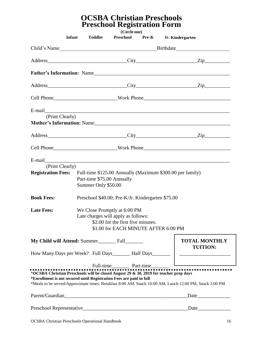## **OCSBA Christian Preschools Preschool Registration Form**

| Infant                                                                                                                                                       | <b>Toddler</b>                                                                                                 | (Circle one)<br>Preschool                                                  | Pre-K | Jr. Kindergarten |                                                                                                         |
|--------------------------------------------------------------------------------------------------------------------------------------------------------------|----------------------------------------------------------------------------------------------------------------|----------------------------------------------------------------------------|-------|------------------|---------------------------------------------------------------------------------------------------------|
| Child's Name                                                                                                                                                 |                                                                                                                |                                                                            |       |                  |                                                                                                         |
|                                                                                                                                                              |                                                                                                                |                                                                            |       |                  | Address Zip Zip                                                                                         |
|                                                                                                                                                              |                                                                                                                |                                                                            |       |                  |                                                                                                         |
|                                                                                                                                                              |                                                                                                                |                                                                            |       |                  |                                                                                                         |
|                                                                                                                                                              |                                                                                                                |                                                                            |       |                  | Cell Phone_____________________________Work Phone________________________________                       |
|                                                                                                                                                              |                                                                                                                |                                                                            |       |                  | E-mail                                                                                                  |
| (Print Clearly)                                                                                                                                              |                                                                                                                |                                                                            |       |                  |                                                                                                         |
|                                                                                                                                                              |                                                                                                                |                                                                            |       |                  | Address Zip Zip                                                                                         |
|                                                                                                                                                              |                                                                                                                |                                                                            |       |                  | Cell Phone_________________________Work Phone___________________________________                        |
| E-mail<br>(Print Clearly)<br><b>Registration Fees:</b>                                                                                                       | Full-time \$125.00 Annually (Maximum \$300.00 per family)<br>Part-time \$75.00 Annually<br>Summer Only \$50.00 |                                                                            |       |                  |                                                                                                         |
| <b>Book Fees:</b>                                                                                                                                            | Preschool \$40.00; Pre-K/Jr. Kindergarten \$75.00                                                              |                                                                            |       |                  |                                                                                                         |
| <b>Late Fees:</b>                                                                                                                                            | We Close Promptly at 6:00 PM<br>Late charges will apply as follows:                                            | \$2.00 for the first five minutes.<br>\$1.00 for EACH MINUTE AFTER 6:00 PM |       |                  |                                                                                                         |
|                                                                                                                                                              |                                                                                                                |                                                                            |       |                  | <b>TOTAL MONTHLY</b><br><b>TUITION:</b>                                                                 |
|                                                                                                                                                              |                                                                                                                |                                                                            |       |                  |                                                                                                         |
| *OCSBA Christian Preschools will be closed August 29 & 30, 2019 for teacher prep days<br>*Enrollment is not secured until Registration Fees are paid in full |                                                                                                                |                                                                            |       |                  | *Meals to be served/Approximate times: Breakfast 8:00 AM, Snack 10:00 AM, Lunch 12:00 PM, Snack 3:00 PM |
|                                                                                                                                                              |                                                                                                                |                                                                            |       |                  | $\text{Date}$                                                                                           |
|                                                                                                                                                              |                                                                                                                |                                                                            |       |                  | Preschool Representative Date Date Date Date Date                                                       |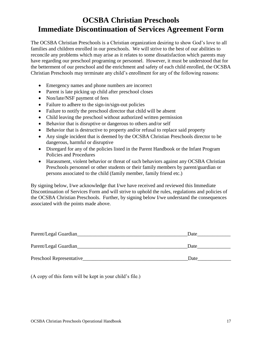# **OCSBA Christian Preschools Immediate Discontinuation of Services Agreement Form**

The OCSBA Christian Preschools is a Christian organization desiring to show God's love to all families and children enrolled in our preschools. We will strive to the best of our abilities to reconcile any problems which may arise as it relates to some dissatisfaction which parents may have regarding our preschool programing or personnel. However, it must be understood that for the betterment of our preschool and the enrichment and safety of each child enrolled, the OCSBA Christian Preschools may terminate any child's enrollment for any of the following reasons:

- Emergency names and phone numbers are incorrect
- Parent is late picking up child after preschool closes
- Non/late/NSF payment of fees
- Failure to adhere to the sign-in/sign-out policies
- Failure to notify the preschool director that child will be absent
- Child leaving the preschool without authorized written permission
- Behavior that is disruptive or dangerous to others and/or self
- Behavior that is destructive to property and/or refusal to replace said property
- Any single incident that is deemed by the OCSBA Christian Preschools director to be dangerous, harmful or disruptive
- Disregard for any of the policies listed in the Parent Handbook or the Infant Program Policies and Procedures
- Harassment, violent behavior or threat of such behaviors against any OCSBA Christian Preschools personnel or other students or their family members by parent/guardian or persons associated to the child (family member, family friend etc.)

By signing below, I/we acknowledge that I/we have received and reviewed this Immediate Discontinuation of Services Form and will strive to uphold the rules, regulations and policies of the OCSBA Christian Preschools. Further, by signing below I/we understand the consequences associated with the points made above.

| Parent/Legal Guardian    | Date |
|--------------------------|------|
| Parent/Legal Guardian    | Date |
| Preschool Representative | Date |

(A copy of this form will be kept in your child's file.)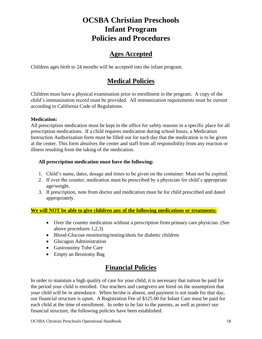# **OCSBA Christian Preschools Infant Program Policies and Procedures**

# **Ages Accepted**

Children ages birth to 24 months will be accepted into the infant program.

# **Medical Policies**

Children must have a physical examination prior to enrollment in the program. A copy of the child's immunization record must be provided. All immunization requirements must be current according to California Code of Regulations.

#### **Medication:**

All prescription medication must be kept in the office for safety reasons in a specific place for all prescription medications. If a child requires medication during school hours, a Medication Instruction Authorization form must be filled out for each day that the medication is to be given at the center. This form absolves the center and staff from all responsibility from any reaction or illness resulting from the taking of the medication.

#### **All prescription medication must have the following:**

- 1. Child's name, dates, dosage and times to be given on the container: Must not be expired.
- 2. If over the counter, medication must be prescribed by a physician for child's appropriate age/weight.
- 3. If prescription, note from doctor and medication must be for child prescribed and dated appropriately.

#### **We will NOT be able to give children any of the following medications or treatments:**

- Over the counter medication without a prescription from primary care physician. (See above procedures 1,2,3)
- Blood-Glucose monitoring/testing/shots for diabetic children
- Glucagon Administration
- Gastrostomy Tube Care
- Empty an Ileostomy Bag

# **Financial Policies**

In order to maintain a high quality of care for your child, it is necessary that tuition be paid for the period your child is enrolled. Our teachers and caregivers are hired on the assumption that your child will be in attendance. When he/she is absent, and payment is not made for that day, our financial structure is upset. A Registration Fee of \$125.00 for Infant Care must be paid for each child at the time of enrollment. In order to be fair to the parents, as well as protect our financial structure, the following policies have been established: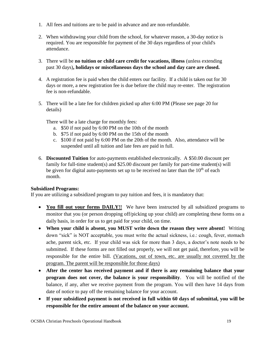- 1. All fees and tuitions are to be paid in advance and are non-refundable.
- 2. When withdrawing your child from the school, for whatever reason, a 30-day notice is required. You are responsible for payment of the 30 days regardless of your child's attendance.
- 3. There will be **no tuition or child care credit for vacations, illness** (unless extending past 30 days)**, holidays or miscellaneous days the school and day care are closed.**
- 4. A registration fee is paid when the child enters our facility. If a child is taken out for 30 days or more, a new registration fee is due before the child may re-enter. The registration fee is non-refundable.
- 5. There will be a late fee for children picked up after 6:00 PM (Please see page 20 for details)

There will be a late charge for monthly fees:

- a. \$50 if not paid by 6:00 PM on the 10th of the month
- b. \$75 if not paid by 6:00 PM on the 15th of the month
- c. \$100 if not paid by 6:00 PM on the 20th of the month. Also, attendance will be suspended until all tuition and late fees are paid in full.
- 6. **Discounted Tuition** for auto-payments established electronically. A \$50.00 discount per family for full-time student(s) and \$25.00 discount per family for part-time student(s) will be given for digital auto-payments set up to be received no later than the  $10<sup>th</sup>$  of each month.

#### **Subsidized Programs:**

If you are utilizing a subsidized program to pay tuition and fees, it is mandatory that:

- You fill out your forms DAILY!! We have been instructed by all subsidized programs to monitor that you (or person dropping off/picking up your child) are completing these forms on a daily basis, in order for us to get paid for your child, on time.
- **When your child is absent, you MUST write down the reason they were absent!** Writing down "sick" is NOT acceptable, you must write the actual sickness, i.e.: cough, fever, stomach ache, parent sick, etc. If your child was sick for more than 3 days, a doctor's note needs to be submitted. If these forms are not filled out properly, we will not get paid, therefore, you will be responsible for the entire bill. (Vacations, out of town, etc. are usually not covered by the program. The parent will be responsible for those days)
- **After the center has received payment and if there is any remaining balance that your program does not cover, the balance is your responsibility**. You will be notified of the balance, if any, after we receive payment from the program. You will then have 14 days from date of notice to pay off the remaining balance for your account.
- **If your subsidized payment is not received in full within 60 days of submittal, you will be responsible for the entire amount of the balance on your account.**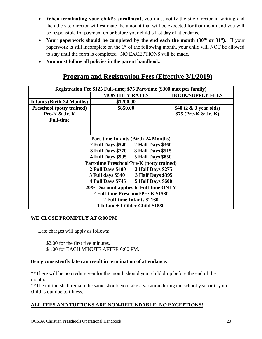- **When terminating your child's enrollment**, you must notify the site director in writing and then the site director will estimate the amount that will be expected for that month and you will be responsible for payment on or before your child's last day of attendance.
- Your paperwork should be completed by the end each the month (30<sup>th</sup> or 31<sup>st</sup>). If your paperwork is still incomplete on the 1<sup>st</sup> of the following month, your child will NOT be allowed to stay until the form is completed. NO EXCEPTIONS will be made.
- **You must follow all policies in the parent handbook.**

# **Program and Registration Fees (Effective 3/1/2019)**

| Registration Fee \$125 Full-time; \$75 Part-time (\$300 max per family) |                                            |                          |                           |
|-------------------------------------------------------------------------|--------------------------------------------|--------------------------|---------------------------|
|                                                                         | <b>MONTHLY RATES</b>                       |                          | <b>BOOK/SUPPLY FEES</b>   |
| <b>Infants (Birth-24 Months)</b>                                        | \$1200.00                                  |                          |                           |
| <b>Preschool</b> (potty trained)                                        | \$850.00                                   |                          | \$40 $(2 \& 3$ year olds) |
| Pre- $K \& Jr. K$                                                       |                                            |                          | \$75 (Pre-K & Jr. K)      |
| <b>Full-time</b>                                                        |                                            |                          |                           |
|                                                                         |                                            |                          |                           |
|                                                                         |                                            |                          |                           |
|                                                                         | <b>Part-time Infants (Birth-24 Months)</b> |                          |                           |
|                                                                         | <b>2 Full Days \$540</b>                   | <b>2 Half Days \$360</b> |                           |
| <b>3 Full Days \$770</b><br>3 Half Days \$515                           |                                            |                          |                           |
| <b>5 Half Days \$850</b><br><b>4 Full Days \$995</b>                    |                                            |                          |                           |
| Part-time Preschool/Pre-K (potty trained)                               |                                            |                          |                           |
|                                                                         | 2 Half Days \$275<br>2 Full Days \$400     |                          |                           |
| <b>3 Full days \$540</b><br><b>3 Half Days \$395</b>                    |                                            |                          |                           |
| 4 Full Days \$745 5 Half Days \$600                                     |                                            |                          |                           |
| 20% Discount applies to Full-time ONLY                                  |                                            |                          |                           |
| 2 Full-time Preschool/Pre-K \$1530                                      |                                            |                          |                           |
| 2 Full-time Infants \$2160                                              |                                            |                          |                           |
| $1$ Infant + 1 Older Child \$1880                                       |                                            |                          |                           |

#### **WE CLOSE PROMPTLY AT 6:00 PM**

Late charges will apply as follows:

\$2.00 for the first five minutes. \$1.00 for EACH MINUTE AFTER 6:00 PM.

#### **Being consistently late can result in termination of attendance.**

\*\*There will be no credit given for the month should your child drop before the end of the month.

\*\*The tuition shall remain the same should you take a vacation during the school year or if your child is out due to illness.

#### **ALL FEES AND TUITIONS ARE NON-REFUNDABLE; NO EXCEPTIONS!**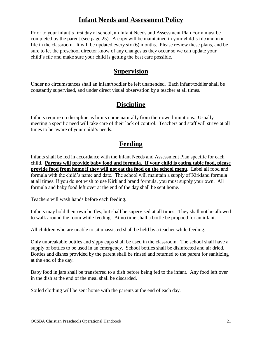## **Infant Needs and Assessment Policy**

Prior to your infant's first day at school, an Infant Needs and Assessment Plan Form must be completed by the parent (see page 25). A copy will be maintained in your child's file and in a file in the classroom. It will be updated every six (6) months. Please review these plans, and be sure to let the preschool director know of any changes as they occur so we can update your child's file and make sure your child is getting the best care possible.

### **Supervision**

Under no circumstances shall an infant/toddler be left unattended. Each infant/toddler shall be constantly supervised, and under direct visual observation by a teacher at all times.

# **Discipline**

Infants require no discipline as limits come naturally from their own limitations. Usually meeting a specific need will take care of their lack of control. Teachers and staff will strive at all times to be aware of your child's needs.

# **Feeding**

Infants shall be fed in accordance with the Infant Needs and Assessment Plan specific for each child. **Parents will provide baby food and formula**. **If your child is eating table food, please provide food from home if they will not eat the food on the school menu**. Label all food and formula with the child's name and date. The school will maintain a supply of Kirkland formula at all times. If you do not wish to use Kirkland brand formula, you must supply your own. All formula and baby food left over at the end of the day shall be sent home.

Teachers will wash hands before each feeding.

Infants may hold their own bottles, but shall be supervised at all times. They shall not be allowed to walk around the room while feeding. At no time shall a bottle be propped for an infant.

All children who are unable to sit unassisted shall be held by a teacher while feeding.

Only unbreakable bottles and sippy cups shall be used in the classroom. The school shall have a supply of bottles to be used in an emergency. School bottles shall be disinfected and air dried. Bottles and dishes provided by the parent shall be rinsed and returned to the parent for sanitizing at the end of the day.

Baby food in jars shall be transferred to a dish before being fed to the infant. Any food left over in the dish at the end of the meal shall be discarded.

Soiled clothing will be sent home with the parents at the end of each day.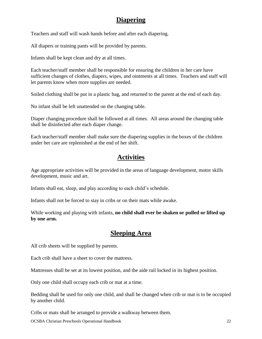## **Diapering**

Teachers and staff will wash hands before and after each diapering.

All diapers or training pants will be provided by parents.

Infants shall be kept clean and dry at all times.

Each teacher/staff member shall be responsible for ensuring the children in her care have sufficient changes of clothes, diapers, wipes, and ointments at all times. Teachers and staff will let parents know when more supplies are needed.

Soiled clothing shall be put in a plastic bag, and returned to the parent at the end of each day.

No infant shall be left unattended on the changing table.

Diaper changing procedure shall be followed at all times. All areas around the changing table shall be disinfected after each diaper change.

Each teacher/staff member shall make sure the diapering supplies in the boxes of the children under her care are replenished at the end of her shift.

# **Activities**

Age appropriate activities will be provided in the areas of language development, motor skills development, music and art.

Infants shall eat, sleep, and play according to each child's schedule.

Infants shall not be forced to stay in cribs or on their mats while awake.

While working and playing with infants, **no child shall ever be shaken or pulled or lifted up by one arm.**

# **Sleeping Area**

All crib sheets will be supplied by parents.

Each crib shall have a sheet to cover the mattress.

Mattresses shall be set at its lowest position, and the aide rail locked in its highest position.

Only one child shall occupy each crib or mat at a time.

Bedding shall be used for only one child, and shall be changed when crib or mat is to be occupied by another child.

Cribs or mats shall be arranged to provide a walkway between them.

OCSBA Christian Preschools Operational Handbook 22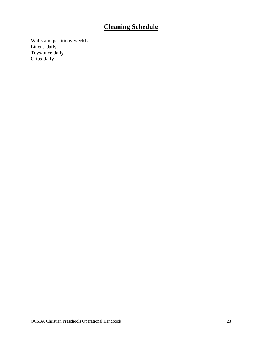# **Cleaning Schedule**

Walls and partitions-weekly Linens-daily Toys-once daily Cribs-daily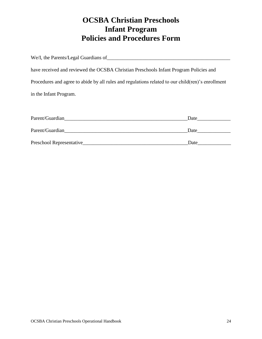# **OCSBA Christian Preschools Infant Program Policies and Procedures Form**

| We/I, the Parents/Legal Guardians of                                                              |
|---------------------------------------------------------------------------------------------------|
|                                                                                                   |
| have received and reviewed the OCSBA Christian Preschools Infant Program Policies and             |
| Procedures and agree to abide by all rules and regulations related to our child(ren)'s enrollment |
| in the Infant Program.                                                                            |
|                                                                                                   |

| Parent/Guardian          | Date |
|--------------------------|------|
| Parent/Guardian          | Date |
| Preschool Representative | Date |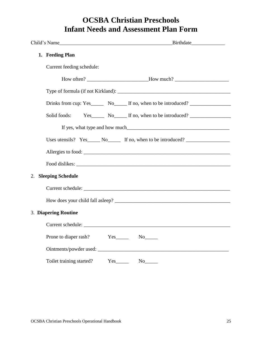# **OCSBA Christian Preschools Infant Needs and Assessment Plan Form**

| 1. Feeding Plan                |                                                                                  |
|--------------------------------|----------------------------------------------------------------------------------|
| Current feeding schedule:      |                                                                                  |
|                                | How often? ______________________________How much? _____________________________ |
|                                |                                                                                  |
|                                | Drinks from cup: Yes________ No_______ If no, when to be introduced?             |
| Solid foods:                   | Yes No If no, when to be introduced?                                             |
|                                |                                                                                  |
|                                | Uses utensils? Yes_______ No_________ If no, when to be introduced?              |
|                                | Allergies to food:                                                               |
|                                |                                                                                  |
| <b>Sleeping Schedule</b><br>2. |                                                                                  |
|                                |                                                                                  |
|                                |                                                                                  |
| 3. Diapering Routine           |                                                                                  |
|                                |                                                                                  |
| Prone to diaper rash?          | $Yes$ No $No$                                                                    |
|                                |                                                                                  |
| Toilet training started?       |                                                                                  |